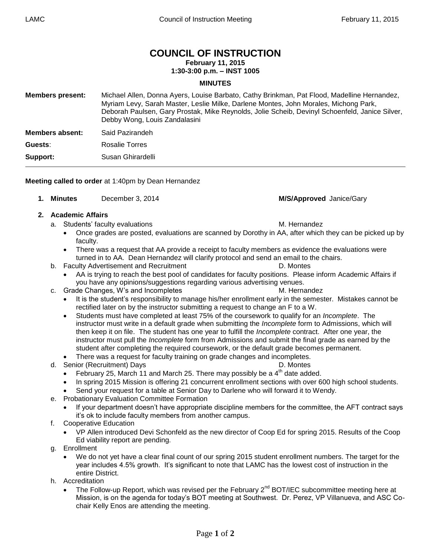# **COUNCIL OF INSTRUCTION**

**February 11, 2015**

### **1:30-3:00 p.m. – INST 1005**

#### **MINUTES**

| <b>Members present:</b> | Michael Allen, Donna Ayers, Louise Barbato, Cathy Brinkman, Pat Flood, Madelline Hernandez,<br>Myriam Levy, Sarah Master, Leslie Milke, Darlene Montes, John Morales, Michong Park,<br>Deborah Paulsen, Gary Prostak, Mike Reynolds, Jolie Scheib, Devinyl Schoenfeld, Janice Silver,<br>Debby Wong, Louis Zandalasini |
|-------------------------|------------------------------------------------------------------------------------------------------------------------------------------------------------------------------------------------------------------------------------------------------------------------------------------------------------------------|
| Members absent:         | Said Pazirandeh                                                                                                                                                                                                                                                                                                        |
| Guests:                 | Rosalie Torres                                                                                                                                                                                                                                                                                                         |
| Support:                | Susan Ghirardelli                                                                                                                                                                                                                                                                                                      |

**Meeting called to order** at 1:40pm by Dean Hernandez

**1. Minutes** December 3, 2014 **M/S/Approved** Janice/Gary

#### **2. Academic Affairs**

- a. Students' faculty evaluations methods of the M. Hernandez
	- Once grades are posted, evaluations are scanned by Dorothy in AA, after which they can be picked up by faculty.
	- There was a request that AA provide a receipt to faculty members as evidence the evaluations were turned in to AA. Dean Hernandez will clarify protocol and send an email to the chairs.
- b. Faculty Advertisement and Recruitment **Example 20** CM D. Montes
	- AA is trying to reach the best pool of candidates for faculty positions. Please inform Academic Affairs if you have any opinions/suggestions regarding various advertising venues.
- c. Grade Changes, W's and Incompletes M. Hernandez
	- It is the student's responsibility to manage his/her enrollment early in the semester. Mistakes cannot be rectified later on by the instructor submitting a request to change an F to a W.
	- Students must have completed at least 75% of the coursework to qualify for an *Incomplete*. The instructor must write in a default grade when submitting the *Incomplete* form to Admissions, which will then keep it on file. The student has one year to fulfill the *Incomplete* contract. After one year, the instructor must pull the *Incomplete* form from Admissions and submit the final grade as earned by the student after completing the required coursework, or the default grade becomes permanent.
	- There was a request for faculty training on grade changes and incompletes.
- d. Senior (Recruitment) Days **D. Montes** D. Montes
	- February 25, March 11 and March 25. There may possibly be a  $4<sup>th</sup>$  date added.
	- In spring 2015 Mission is offering 21 concurrent enrollment sections with over 600 high school students.
	- Send your request for a table at Senior Day to Darlene who will forward it to Wendy.
- e. Probationary Evaluation Committee Formation
	- If your department doesn't have appropriate discipline members for the committee, the AFT contract says it's ok to include faculty members from another campus.
- f. Cooperative Education
	- VP Allen introduced Devi Schonfeld as the new director of Coop Ed for spring 2015. Results of the Coop Ed viability report are pending.
- g. Enrollment
	- We do not yet have a clear final count of our spring 2015 student enrollment numbers. The target for the year includes 4.5% growth. It's significant to note that LAMC has the lowest cost of instruction in the entire District.
- h. Accreditation
	- The Follow-up Report, which was revised per the February  $2^{nd}$  BOT/IEC subcommittee meeting here at Mission, is on the agenda for today's BOT meeting at Southwest. Dr. Perez, VP Villanueva, and ASC Cochair Kelly Enos are attending the meeting.